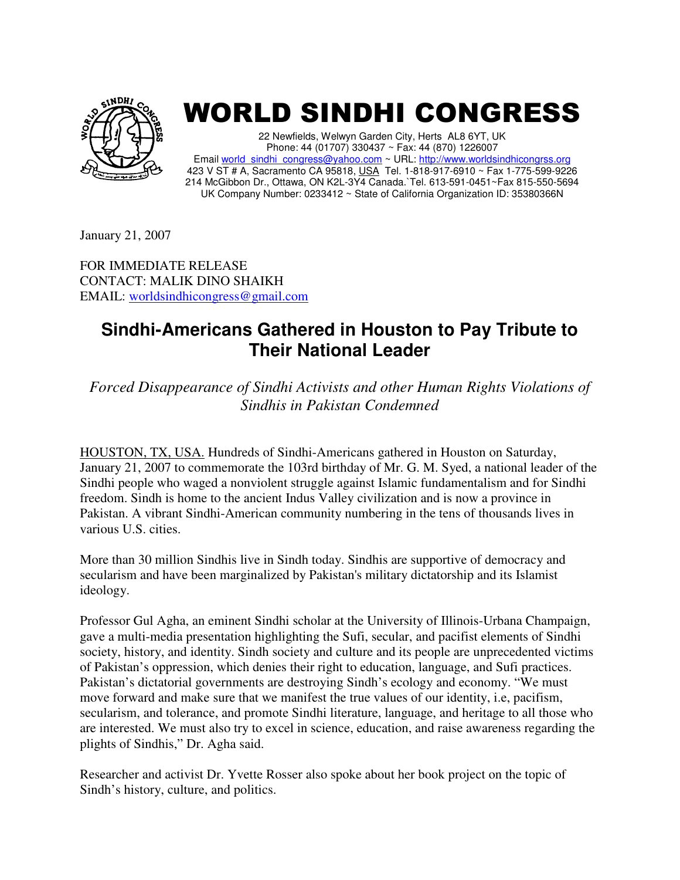

## WORLD SINDHI CONGRESS

22 Newfields, Welwyn Garden City, Herts AL8 6YT, UK Phone: 44 (01707) 330437 ~ Fax: 44 (870) 1226007 Email world\_sindhi\_congress@yahoo.com ~ URL: http://www.worldsindhicongrss.org 423 V ST # A, Sacramento CA 95818, USA Tel. 1-818-917-6910 ~ Fax 1-775-599-9226 214 McGibbon Dr., Ottawa, ON K2L-3Y4 Canada.`Tel. 613-591-0451~Fax 815-550-5694 UK Company Number: 0233412 ~ State of California Organization ID: 35380366N

January 21, 2007

FOR IMMEDIATE RELEASE CONTACT: MALIK DINO SHAIKH EMAIL: worldsindhicongress@gmail.com

## **Sindhi-Americans Gathered in Houston to Pay Tribute to Their National Leader**

*Forced Disappearance of Sindhi Activists and other Human Rights Violations of Sindhis in Pakistan Condemned* 

HOUSTON, TX, USA. Hundreds of Sindhi-Americans gathered in Houston on Saturday, January 21, 2007 to commemorate the 103rd birthday of Mr. G. M. Syed, a national leader of the Sindhi people who waged a nonviolent struggle against Islamic fundamentalism and for Sindhi freedom. Sindh is home to the ancient Indus Valley civilization and is now a province in Pakistan. A vibrant Sindhi-American community numbering in the tens of thousands lives in various U.S. cities.

More than 30 million Sindhis live in Sindh today. Sindhis are supportive of democracy and secularism and have been marginalized by Pakistan's military dictatorship and its Islamist ideology.

Professor Gul Agha, an eminent Sindhi scholar at the University of Illinois-Urbana Champaign, gave a multi-media presentation highlighting the Sufi, secular, and pacifist elements of Sindhi society, history, and identity. Sindh society and culture and its people are unprecedented victims of Pakistan's oppression, which denies their right to education, language, and Sufi practices. Pakistan's dictatorial governments are destroying Sindh's ecology and economy. "We must move forward and make sure that we manifest the true values of our identity, i.e, pacifism, secularism, and tolerance, and promote Sindhi literature, language, and heritage to all those who are interested. We must also try to excel in science, education, and raise awareness regarding the plights of Sindhis," Dr. Agha said.

Researcher and activist Dr. Yvette Rosser also spoke about her book project on the topic of Sindh's history, culture, and politics.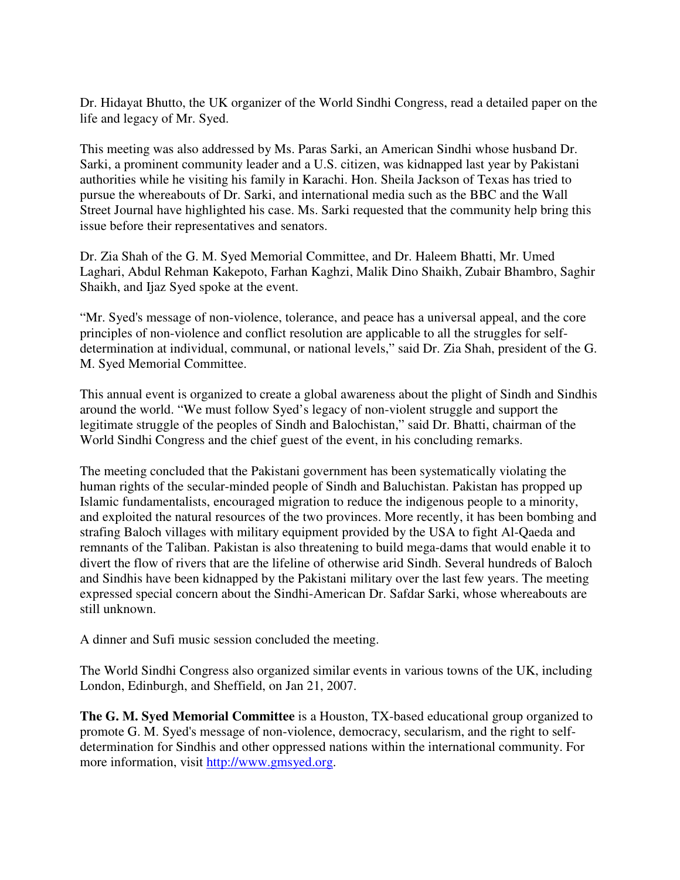Dr. Hidayat Bhutto, the UK organizer of the World Sindhi Congress, read a detailed paper on the life and legacy of Mr. Syed.

This meeting was also addressed by Ms. Paras Sarki, an American Sindhi whose husband Dr. Sarki, a prominent community leader and a U.S. citizen, was kidnapped last year by Pakistani authorities while he visiting his family in Karachi. Hon. Sheila Jackson of Texas has tried to pursue the whereabouts of Dr. Sarki, and international media such as the BBC and the Wall Street Journal have highlighted his case. Ms. Sarki requested that the community help bring this issue before their representatives and senators.

Dr. Zia Shah of the G. M. Syed Memorial Committee, and Dr. Haleem Bhatti, Mr. Umed Laghari, Abdul Rehman Kakepoto, Farhan Kaghzi, Malik Dino Shaikh, Zubair Bhambro, Saghir Shaikh, and Ijaz Syed spoke at the event.

"Mr. Syed's message of non-violence, tolerance, and peace has a universal appeal, and the core principles of non-violence and conflict resolution are applicable to all the struggles for selfdetermination at individual, communal, or national levels," said Dr. Zia Shah, president of the G. M. Syed Memorial Committee.

This annual event is organized to create a global awareness about the plight of Sindh and Sindhis around the world. "We must follow Syed's legacy of non-violent struggle and support the legitimate struggle of the peoples of Sindh and Balochistan," said Dr. Bhatti, chairman of the World Sindhi Congress and the chief guest of the event, in his concluding remarks.

The meeting concluded that the Pakistani government has been systematically violating the human rights of the secular-minded people of Sindh and Baluchistan. Pakistan has propped up Islamic fundamentalists, encouraged migration to reduce the indigenous people to a minority, and exploited the natural resources of the two provinces. More recently, it has been bombing and strafing Baloch villages with military equipment provided by the USA to fight Al-Qaeda and remnants of the Taliban. Pakistan is also threatening to build mega-dams that would enable it to divert the flow of rivers that are the lifeline of otherwise arid Sindh. Several hundreds of Baloch and Sindhis have been kidnapped by the Pakistani military over the last few years. The meeting expressed special concern about the Sindhi-American Dr. Safdar Sarki, whose whereabouts are still unknown.

A dinner and Sufi music session concluded the meeting.

The World Sindhi Congress also organized similar events in various towns of the UK, including London, Edinburgh, and Sheffield, on Jan 21, 2007.

**The G. M. Syed Memorial Committee** is a Houston, TX-based educational group organized to promote G. M. Syed's message of non-violence, democracy, secularism, and the right to selfdetermination for Sindhis and other oppressed nations within the international community. For more information, visit http://www.gmsyed.org.